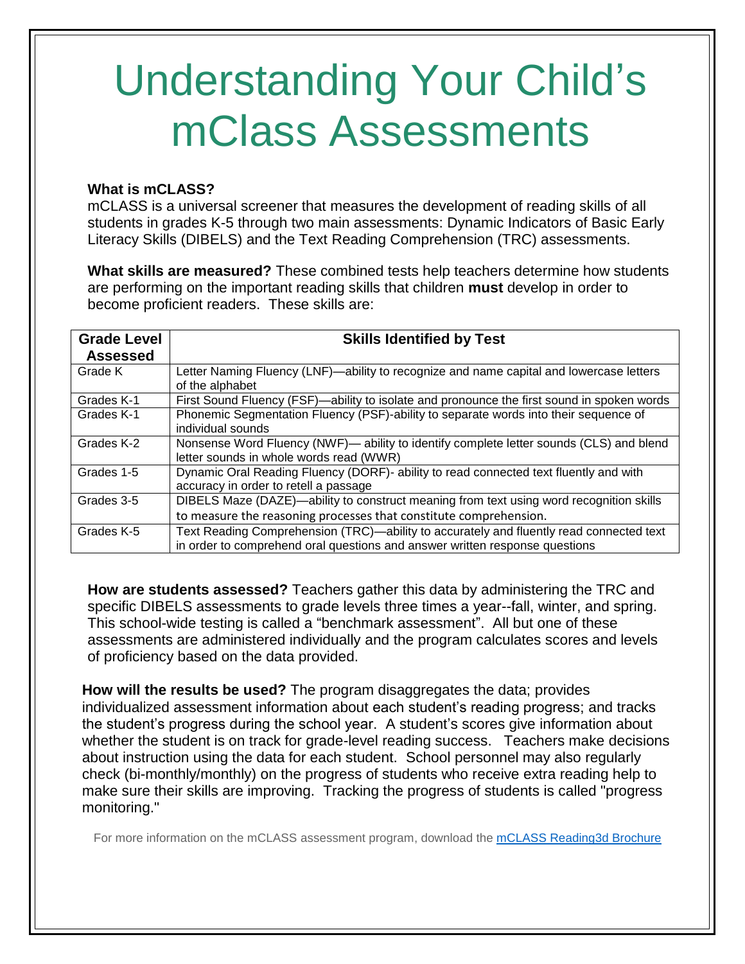# Understanding Your Child's mClass Assessments

#### **What is mCLASS?**

mCLASS is a universal screener that measures the development of reading skills of all students in grades K-5 through two main assessments: Dynamic Indicators of Basic Early Literacy Skills (DIBELS) and the Text Reading Comprehension (TRC) assessments.

**What skills are measured?** These combined tests help teachers determine how students are performing on the important reading skills that children **must** develop in order to become proficient readers. These skills are:

| <b>Grade Level</b> | <b>Skills Identified by Test</b>                                                                                                                                       |
|--------------------|------------------------------------------------------------------------------------------------------------------------------------------------------------------------|
| <b>Assessed</b>    |                                                                                                                                                                        |
| Grade K            | Letter Naming Fluency (LNF)—ability to recognize and name capital and lowercase letters<br>of the alphabet                                                             |
| Grades K-1         | First Sound Fluency (FSF)—ability to isolate and pronounce the first sound in spoken words                                                                             |
| Grades K-1         | Phonemic Segmentation Fluency (PSF)-ability to separate words into their sequence of<br>individual sounds                                                              |
| Grades K-2         | Nonsense Word Fluency (NWF)— ability to identify complete letter sounds (CLS) and blend<br>letter sounds in whole words read (WWR)                                     |
| Grades 1-5         | Dynamic Oral Reading Fluency (DORF)- ability to read connected text fluently and with<br>accuracy in order to retell a passage                                         |
| Grades 3-5         | DIBELS Maze (DAZE)—ability to construct meaning from text using word recognition skills<br>to measure the reasoning processes that constitute comprehension.           |
| Grades K-5         | Text Reading Comprehension (TRC)—ability to accurately and fluently read connected text<br>in order to comprehend oral questions and answer written response questions |

**How are students assessed?** Teachers gather this data by administering the TRC and specific DIBELS assessments to grade levels three times a year--fall, winter, and spring. This school-wide testing is called a "benchmark assessment". All but one of these assessments are administered individually and the program calculates scores and levels of proficiency based on the data provided.

**How will the results be used?** The program disaggregates the data; provides individualized assessment information about each student's reading progress; and tracks the student's progress during the school year. A student's scores give information about whether the student is on track for grade-level reading success. Teachers make decisions about instruction using the data for each student. School personnel may also regularly check (bi-monthly/monthly) on the progress of students who receive extra reading help to make sure their skills are improving. Tracking the progress of students is called "progress monitoring."

For more information on the mCLASS assessment program, download the [mCLASS Reading3d Brochure](http://flyingintofirstgrade.weebly.com/uploads/1/3/2/2/13223365/mclass_reading_3d_brochure.pdf)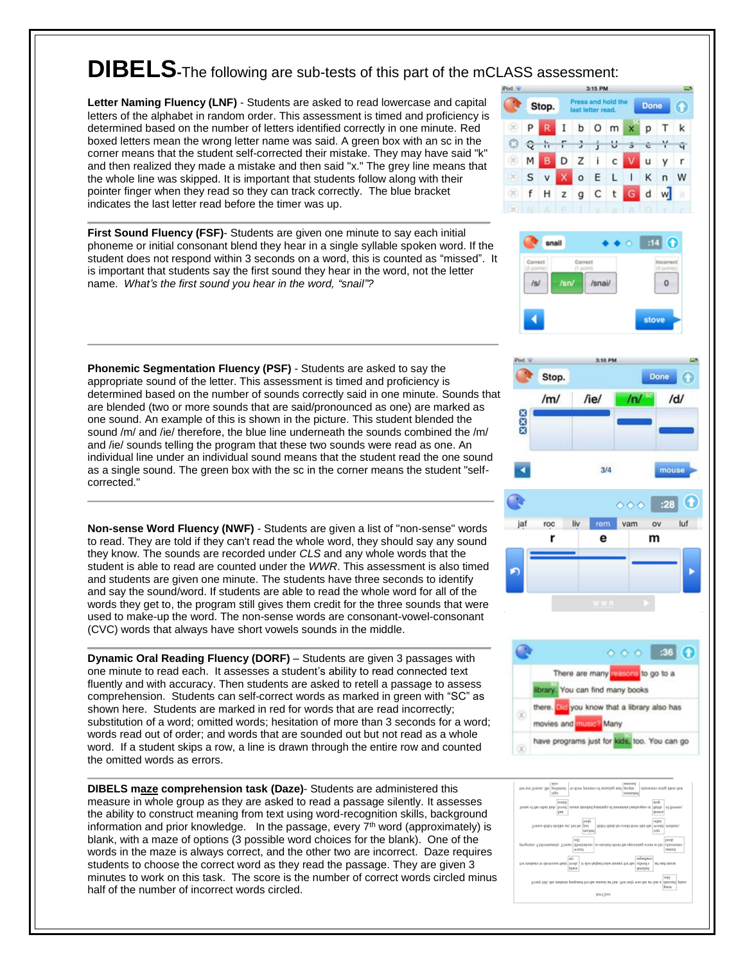## **DIBELS-**The following are sub-tests of this part of the mCLASS assessment:

**Letter Naming Fluency (LNF)** - Students are asked to read lowercase and capital letters of the alphabet in random order. This assessment is timed and proficiency is determined based on the number of letters identified correctly in one minute. Red boxed letters mean the wrong letter name was said. A green box with an sc in the corner means that the student self-corrected their mistake. They may have said "k" and then realized they made a mistake and then said "x." The grey line means that the whole line was skipped. It is important that students follow along with their pointer finger when they read so they can track correctly. The blue bracket indicates the last letter read before the timer was up.

**First Sound Fluency (FSF)**- Students are given one minute to say each initial phoneme or initial consonant blend they hear in a single syllable spoken word. If the student does not respond within 3 seconds on a word, this is counted as "missed". It is important that students say the first sound they hear in the word, not the letter name. *What's the first sound you hear in the word, "snail"?*

**Phonemic Segmentation Fluency (PSF)** - Students are asked to say the appropriate sound of the letter. This assessment is timed and proficiency is determined based on the number of sounds correctly said in one minute. Sounds that are blended (two or more sounds that are said/pronounced as one) are marked as one sound. An example of this is shown in the picture. This student blended the sound /m/ and /ie/ therefore, the blue line underneath the sounds combined the /m/ and /ie/ sounds telling the program that these two sounds were read as one. An individual line under an individual sound means that the student read the one sound as a single sound. The green box with the sc in the corner means the student "selfcorrected."

**Non-sense Word Fluency (NWF)** - Students are given a list of "non-sense" words to read. They are told if they can't read the whole word, they should say any sound they know. The sounds are recorded under *CLS* and any whole words that the student is able to read are counted under the *WWR*. This assessment is also timed and students are given one minute. The students have three seconds to identify and say the sound/word. If students are able to read the whole word for all of the words they get to, the program still gives them credit for the three sounds that were used to make-up the word. The non-sense words are consonant-vowel-consonant (CVC) words that always have short vowels sounds in the middle.

**Dynamic Oral Reading Fluency (DORF)** – Students are given 3 passages with one minute to read each. It assesses a student's ability to read connected text fluently and with accuracy. Then students are asked to retell a passage to assess comprehension. Students can self-correct words as marked in green with "SC" as shown here. Students are marked in red for words that are read incorrectly; substitution of a word; omitted words; hesitation of more than 3 seconds for a word; words read out of order; and words that are sounded out but not read as a whole word. If a student skips a row, a line is drawn through the entire row and counted the omitted words as errors.

**DIBELS maze comprehension task (Daze)**- Students are administered this measure in whole group as they are asked to read a passage silently. It assesses the ability to construct meaning from text using word-recognition skills, background information and prior knowledge. In the passage, every  $7<sup>th</sup>$  word (approximately) is blank, with a maze of options (3 possible word choices for the blank). One of the words in the maze is always correct, and the other two are incorrect. Daze requires students to choose the correct word as they read the passage. They are given 3 minutes to work on this task. The score is the number of correct words circled minus half of the number of incorrect words circled.









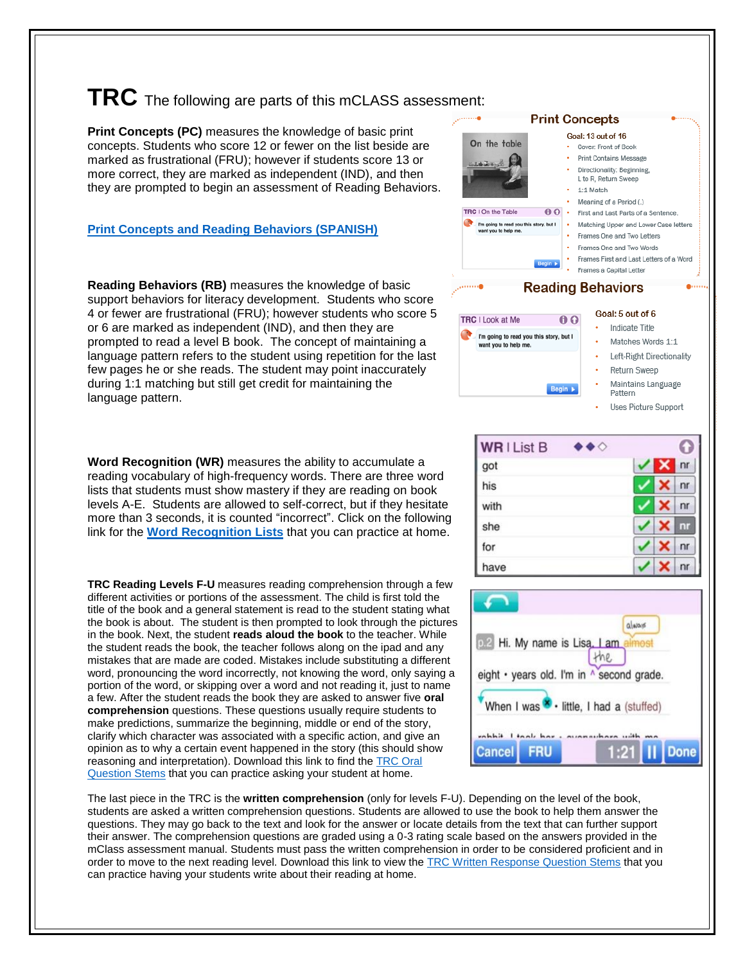## **TRC** The following are parts of this mCLASS assessment:

**Print Concepts (PC)** measures the knowledge of basic print concepts. Students who score 12 or fewer on the list beside are marked as frustrational (FRU); however if students score 13 or more correct, they are marked as independent (IND), and then they are prompted to begin an assessment of Reading Behaviors.

#### **[Print Concepts and Reading Behaviors \(SPANISH\)](https://drive.google.com/file/d/0BzgIiHhH2W_faEZQNUNqR0dIazQ/view?usp=sharing)**

**Reading Behaviors (RB)** measures the knowledge of basic support behaviors for literacy development. Students who score 4 or fewer are frustrational (FRU); however students who score 5 or 6 are marked as independent (IND), and then they are prompted to read a level B book. The concept of maintaining a language pattern refers to the student using repetition for the last few pages he or she reads. The student may point inaccurately during 1:1 matching but still get credit for maintaining the language pattern.

**Word Recognition (WR)** measures the ability to accumulate a reading vocabulary of high-frequency words. There are three word lists that students must show mastery if they are reading on book levels A-E. Students are allowed to self-correct, but if they hesitate more than 3 seconds, it is counted "incorrect". Click on the following link for the **[Word Recognition](https://www.mclasshome.com/support_center/mCLASS_Reading3D_WR_Student_Materials.pdf) Lists** that you can practice at home.

**TRC Reading Levels F-U** measures reading comprehension through a few different activities or portions of the assessment. The child is first told the title of the book and a general statement is read to the student stating what the book is about. The student is then prompted to look through the pictures in the book. Next, the student **reads aloud the book** to the teacher. While the student reads the book, the teacher follows along on the ipad and any mistakes that are made are coded. Mistakes include substituting a different word, pronouncing the word incorrectly, not knowing the word, only saying a portion of the word, or skipping over a word and not reading it, just to name a few. After the student reads the book they are asked to answer five **oral comprehension** questions. These questions usually require students to make predictions, summarize the beginning, middle or end of the story, clarify which character was associated with a specific action, and give an opinion as to why a certain event happened in the story (this should show reasoning and interpretation). Download this link to find the [TRC Oral](https://drive.google.com/file/d/0BzgIiHhH2W_feHN6VFlDaFY5OGc/view?usp=sharing)  [Question Stems](https://drive.google.com/file/d/0BzgIiHhH2W_feHN6VFlDaFY5OGc/view?usp=sharing) that you can practice asking your student at home.

The last piece in the TRC is the **written comprehension** (only for levels F-U). Depending on the level of the book, students are asked a written comprehension questions. Students are allowed to use the book to help them answer the questions. They may go back to the text and look for the answer or locate details from the text that can further support their answer. The comprehension questions are graded using a 0-3 rating scale based on the answers provided in the mClass assessment manual. Students must pass the written comprehension in order to be considered proficient and in order to move to the next reading level. Download this link to view the [TRC Written Response Question Stems](https://drive.google.com/file/d/0BzgIiHhH2W_fV1RjdzVhczNoYWs/view?usp=sharing) that you can practice having your students write about their reading at home.

#### **Print Concepts** Goal: 13 out of 16 On the table • Cover: Front of Book Print Contains Message Directionality: Beginning, L to R, Return Sweep 1:1 Match Meaning of a Period (.) TRC I On the Table  $00$ • First and Last Parts of a Sentence oing to read you this story, but I<br>vou to help me. Matching Upper and Lower Case letters Frames One and Two Letters • Frames One and Two Words • Frames First and Last Letters of a Word Frames a Capital Letter **Reading Behaviors** Goal: 5 out of 6 TRC | Look at Me  $0<sub>0</sub>$ Indicate Title I'm going to read you this story, but I Matches Words 1:1 vant you to help me. Left-Right Directionality Return Sweep Maintains Language Begin > Pattern Uses Picture Support

| <b>WRIList B</b> |  |                |
|------------------|--|----------------|
| got              |  | nr             |
| his              |  | nr             |
| with             |  | n <sub>r</sub> |
| she              |  | nr             |
| for              |  | nr             |
| have             |  | n              |